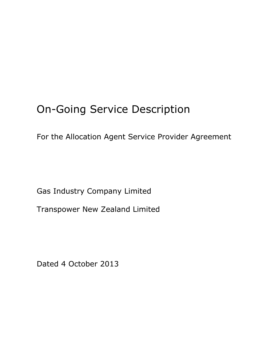# On-Going Service Description

For the Allocation Agent Service Provider Agreement

Gas Industry Company Limited

Transpower New Zealand Limited

Dated 4 October 2013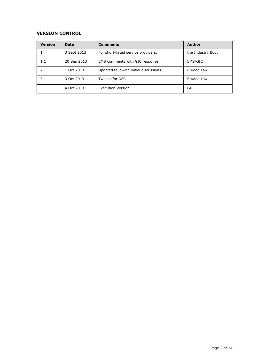# **VERSION CONTROL**

| <b>Version</b> | Date        | <b>Comments</b>                       | <b>Author</b>     |
|----------------|-------------|---------------------------------------|-------------------|
|                | 3 Sept 2013 | For short-listed service providers.   | the Industry Body |
| 1.1            | 20 Sep 2013 | EMS comments with GIC response        | EMS/GIC           |
|                | 1 Oct 2013  | Updated following initial discussions | Elwood Law        |
| 3              | 3 Oct 2013  | <b>Tweaks for NFS</b>                 | Elwood Law        |
|                | 4 Oct 2013  | <b>Execution Version</b>              | GIC               |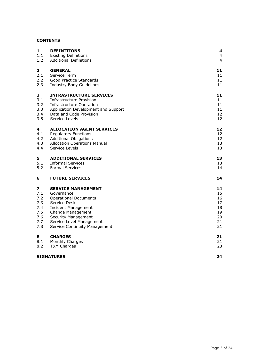# **CONTENTS**

| <b>DEFINITIONS</b><br><b>Existing Definitions</b> | 4<br>$\overline{4}$                                                                                                                                                                                                                                                                                                                                                                                                                                                                                                                                                                                                 |
|---------------------------------------------------|---------------------------------------------------------------------------------------------------------------------------------------------------------------------------------------------------------------------------------------------------------------------------------------------------------------------------------------------------------------------------------------------------------------------------------------------------------------------------------------------------------------------------------------------------------------------------------------------------------------------|
|                                                   | $\overline{4}$                                                                                                                                                                                                                                                                                                                                                                                                                                                                                                                                                                                                      |
| <b>GENERAL</b>                                    | 11                                                                                                                                                                                                                                                                                                                                                                                                                                                                                                                                                                                                                  |
|                                                   | 11                                                                                                                                                                                                                                                                                                                                                                                                                                                                                                                                                                                                                  |
|                                                   | 11                                                                                                                                                                                                                                                                                                                                                                                                                                                                                                                                                                                                                  |
|                                                   | 11                                                                                                                                                                                                                                                                                                                                                                                                                                                                                                                                                                                                                  |
| <b>INFRASTRUCTURE SERVICES</b>                    | 11                                                                                                                                                                                                                                                                                                                                                                                                                                                                                                                                                                                                                  |
| Infrastructure Provision                          | 11                                                                                                                                                                                                                                                                                                                                                                                                                                                                                                                                                                                                                  |
|                                                   | 11                                                                                                                                                                                                                                                                                                                                                                                                                                                                                                                                                                                                                  |
|                                                   | 11                                                                                                                                                                                                                                                                                                                                                                                                                                                                                                                                                                                                                  |
|                                                   | 12                                                                                                                                                                                                                                                                                                                                                                                                                                                                                                                                                                                                                  |
|                                                   | 12                                                                                                                                                                                                                                                                                                                                                                                                                                                                                                                                                                                                                  |
| <b>ALLOCATION AGENT SERVICES</b>                  | 12                                                                                                                                                                                                                                                                                                                                                                                                                                                                                                                                                                                                                  |
|                                                   | 12                                                                                                                                                                                                                                                                                                                                                                                                                                                                                                                                                                                                                  |
|                                                   | 12                                                                                                                                                                                                                                                                                                                                                                                                                                                                                                                                                                                                                  |
|                                                   | 13                                                                                                                                                                                                                                                                                                                                                                                                                                                                                                                                                                                                                  |
|                                                   | 13                                                                                                                                                                                                                                                                                                                                                                                                                                                                                                                                                                                                                  |
| <b>ADDITIONAL SERVICES</b>                        | 13                                                                                                                                                                                                                                                                                                                                                                                                                                                                                                                                                                                                                  |
|                                                   | 13                                                                                                                                                                                                                                                                                                                                                                                                                                                                                                                                                                                                                  |
|                                                   | 14                                                                                                                                                                                                                                                                                                                                                                                                                                                                                                                                                                                                                  |
| <b>FUTURE SERVICES</b>                            | 14                                                                                                                                                                                                                                                                                                                                                                                                                                                                                                                                                                                                                  |
| <b>SERVICE MANAGEMENT</b>                         | 14                                                                                                                                                                                                                                                                                                                                                                                                                                                                                                                                                                                                                  |
| Governance                                        | 15                                                                                                                                                                                                                                                                                                                                                                                                                                                                                                                                                                                                                  |
|                                                   | 16                                                                                                                                                                                                                                                                                                                                                                                                                                                                                                                                                                                                                  |
|                                                   | 17                                                                                                                                                                                                                                                                                                                                                                                                                                                                                                                                                                                                                  |
|                                                   | 18                                                                                                                                                                                                                                                                                                                                                                                                                                                                                                                                                                                                                  |
|                                                   | 19<br>20                                                                                                                                                                                                                                                                                                                                                                                                                                                                                                                                                                                                            |
|                                                   | 21                                                                                                                                                                                                                                                                                                                                                                                                                                                                                                                                                                                                                  |
| Service Continuity Management                     | 21                                                                                                                                                                                                                                                                                                                                                                                                                                                                                                                                                                                                                  |
|                                                   | 21                                                                                                                                                                                                                                                                                                                                                                                                                                                                                                                                                                                                                  |
|                                                   | 21                                                                                                                                                                                                                                                                                                                                                                                                                                                                                                                                                                                                                  |
| T&M Charges                                       | 23                                                                                                                                                                                                                                                                                                                                                                                                                                                                                                                                                                                                                  |
| <b>SIGNATURES</b>                                 | 24                                                                                                                                                                                                                                                                                                                                                                                                                                                                                                                                                                                                                  |
|                                                   | <b>Additional Definitions</b><br>Service Term<br><b>Good Practice Standards</b><br><b>Industry Body Guidelines</b><br>Infrastructure Operation<br>Application Development and Support<br>Data and Code Provision<br>Service Levels<br><b>Regulatory Functions</b><br><b>Additional Obligations</b><br><b>Allocation Operations Manual</b><br>Service Levels<br><b>Informal Services</b><br><b>Formal Services</b><br><b>Operational Documents</b><br>Service Desk<br><b>Incident Management</b><br>Change Management<br><b>Security Management</b><br>Service Level Management<br><b>CHARGES</b><br>Monthly Charges |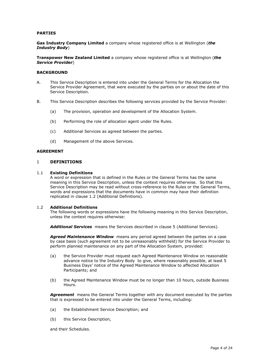## **PARTIES**

**Gas Industry Company Limited** a company whose registered office is at Wellington (*the Industry Body*)

**Transpower New Zealand Limited** a company whose registered office is at Wellington (*the Service Provider*)

## **BACKGROUND**

- A. This Service Description is entered into under the General Terms for the Allocation the Service Provider Agreement, that were executed by the parties on or about the date of this Service Description.
- B. This Service Description describes the following services provided by the Service Provider:
	- (a) The provision, operation and development of the Allocation System.
	- (b) Performing the role of allocation agent under the Rules.
	- (c) Additional Services as agreed between the parties.
	- (d) Management of the above Services.

#### **AGREEMENT**

## <span id="page-3-0"></span>1 **DEFINITIONS**

#### <span id="page-3-1"></span>1.1 **Existing Definitions**

A word or expression that is defined in the Rules or the General Terms has the same meaning in this Service Description, unless the context requires otherwise. So that this Service Description may be read without cross-reference to the Rules or the General Terms, words and expressions that the documents have in common may have their definition replicated in clause [1.2](#page-3-2) (Additional Definitions).

#### <span id="page-3-2"></span>1.2 **Additional Definitions**

The following words or expressions have the following meaning in this Service Description, unless the context requires otherwise:

*Additional Services* means the Services described in clause [5](#page-12-2) (Additional Services).

*Agreed Maintenance Window* means any period agreed between the parties on a case by case basis (such agreement not to be unreasonably withheld) for the Service Provider to perform planned maintenance on any part of the Allocation System, provided:

- (a) the Service Provider must request each Agreed Maintenance Window on reasonable advance notice to the Industry Body to give, where reasonably possible, at least 5 Business Days' notice of the Agreed Maintenance Window to affected Allocation Participants; and
- (b) the Agreed Maintenance Window must be no longer than 10 hours, outside Business Hours.

**Agreement** means the General Terms together with any document executed by the parties that is expressed to be entered into under the General Terms, including:

- (a) the Establishment Service Description; and
- (b) this Service Description,

and their Schedules.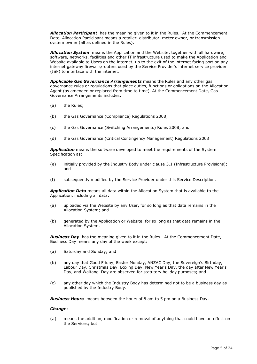*Allocation Participant* has the meaning given to it in the Rules. At the Commencement Date, Allocation Participant means a retailer, distributor, meter owner, or transmission system owner (all as defined in the Rules).

*Allocation System* means the Application and the Website, together with all hardware, software, networks, facilities and other IT infrastructure used to make the Application and Website available to Users on the internet, up to the exit of the internet facing port on any internet gateway firewalls/routers used by the Service Provider's internet service provider (ISP) to interface with the internet.

*Applicable Gas Governance Arrangements* means the Rules and any other gas governance rules or regulations that place duties, functions or obligations on the Allocation Agent (as amended or replaced from time to time). At the Commencement Date, Gas Governance Arrangements includes:

- (a) the Rules;
- (b) the Gas Governance (Compliance) Regulations 2008;
- (c) the Gas Governance (Switching Arrangements) Rules 2008; and
- (d) the Gas Governance (Critical Contingency Management) Regulations 2008

*Application* means the software developed to meet the requirements of the System Specification as:

- (e) initially provided by the Industry Body under clause [3.1](#page-10-5) (Infrastructure Provisions); and
- (f) subsequently modified by the Service Provider under this Service Description.

*Application Data* means all data within the Allocation System that is available to the Application, including all data:

- (a) uploaded via the Website by any User, for so long as that data remains in the Allocation System; and
- (b) generated by the Application or Website, for so long as that data remains in the Allocation System.

**Business Day** has the meaning given to it in the Rules. At the Commencement Date, Business Day means any day of the week except:

- (a) Saturday and Sunday; and
- (b) any day that Good Friday, Easter Monday, ANZAC Day, the Sovereign's Birthday, Labour Day, Christmas Day, Boxing Day, New Year's Day, the day after New Year's Day, and Waitangi Day are observed for statutory holiday purposes; and
- (c) any other day which the Industry Body has determined not to be a business day as published by the Industry Body.

*Business Hours* means between the hours of 8 am to 5 pm on a Business Day.

#### *Change*:

(a) means the addition, modification or removal of anything that could have an effect on the Services; but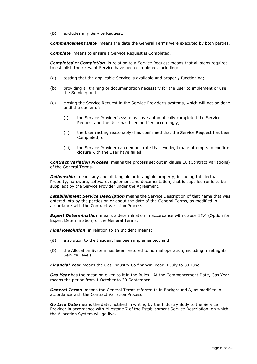(b) excludes any Service Request.

*Commencement Date* means the date the General Terms were executed by both parties.

**Complete** means to ensure a Service Request is Completed.

*Completed* or *Completion* in relation to a Service Request means that all steps required to establish the relevant Service have been completed, including:

- (a) testing that the applicable Service is available and properly functioning;
- (b) providing all training or documentation necessary for the User to implement or use the Service; and
- (c) closing the Service Request in the Service Provider's systems, which will not be done until the earlier of:
	- (i) the Service Provider's systems have automatically completed the Service Request and the User has been notified accordingly;
	- (ii) the User (acting reasonably) has confirmed that the Service Request has been Completed; or
	- (iii) the Service Provider can demonstrate that two legitimate attempts to confirm closure with the User have failed.

**Contract Variation Process** means the process set out in clause 18 (Contract Variations) of the General Terms*.*

**Deliverable** means any and all tangible or intangible property, including Intellectual Property, hardware, software, equipment and documentation, that is supplied (or is to be supplied) by the Service Provider under the Agreement.

*Establishment Service Description* means the Service Description of that name that was entered into by the parties on or about the date of the General Terms, as modified in accordance with the Contract Variation Process.

*Expert Determination* means a determination in accordance with clause 15.4 (Option for Expert Determination) of the General Terms.

*Final Resolution* in relation to an Incident means:

- (a) a solution to the Incident has been implemented; and
- (b) the Allocation System has been restored to normal operation, including meeting its Service Levels.

*Financial Year* means the Gas Industry Co financial year, 1 July to 30 June.

*Gas Year* has the meaning given to it in the Rules. At the Commencement Date, Gas Year means the period from 1 October to 30 September.

*General Terms* means the General Terms referred to in Background A, as modified in accordance with the Contract Variation Process.

*Go Live Date* means the date, notified in writing by the Industry Body to the Service Provider in accordance with Milestone 7 of the Establishment Service Description, on which the Allocation System will go live.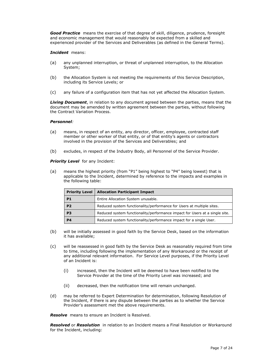**Good Practice** means the exercise of that degree of skill, diligence, prudence, foresight and economic management that would reasonably be expected from a skilled and experienced provider of the Services and Deliverables (as defined in the General Terms).

## *Incident* means:

- (a) any unplanned interruption, or threat of unplanned interruption, to the Allocation System;
- (b) the Allocation System is not meeting the requirements of this Service Description, including its Service Levels; or
- (c) any failure of a configuration item that has not yet affected the Allocation System.

*Living Document*, in relation to any document agreed between the parties, means that the document may be amended by written agreement between the parties, without following the Contract Variation Process.

## *Personnel:*

- (a) means, in respect of an entity, any director, officer, employee, contracted staff member or other worker of that entity, or of that entity's agents or contractors involved in the provision of the Services and Deliverables; and
- (b) excludes, in respect of the Industry Body, all Personnel of the Service Provider.

**Priority Level** for any Incident:

(a) means the highest priority (from "P1" being highest to "P4" being lowest) that is applicable to the Incident, determined by reference to the impacts and examples in the following table:

| <b>Priority Level</b> | <b>Allocation Participant Impact</b>                                        |  |
|-----------------------|-----------------------------------------------------------------------------|--|
| P <sub>1</sub>        | Entire Allocation System unusable.                                          |  |
| P <sub>2</sub>        | Reduced system functionality/performance for Users at multiple sites.       |  |
| P <sub>3</sub>        | Reduced system functionality/performance impact for Users at a single site. |  |
| P <sub>4</sub>        | Reduced system functionality/performance impact for a single User.          |  |

- (b) will be initially assessed in good faith by the Service Desk, based on the information it has available;
- (c) will be reassessed in good faith by the Service Desk as reasonably required from time to time, including following the implementation of any Workaround or the receipt of any additional relevant information. For Service Level purposes, if the Priority Level of an Incident is:
	- (i) increased, then the Incident will be deemed to have been notified to the Service Provider at the time of the Priority Level was increased; and
	- (ii) decreased, then the notification time will remain unchanged.
- (d) may be referred to Expert Determination for determination, following Resolution of the Incident, if there is any dispute between the parties as to whether the Service Provider's assessment met the above requirements.

*Resolve* means to ensure an Incident is Resolved.

*Resolved* or *Resolution* in relation to an Incident means a Final Resolution or Workaround for the Incident, including: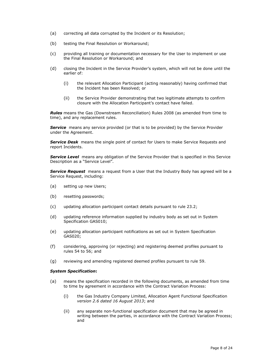- (a) correcting all data corrupted by the Incident or its Resolution;
- (b) testing the Final Resolution or Workaround;
- (c) providing all training or documentation necessary for the User to implement or use the Final Resolution or Workaround; and
- (d) closing the Incident in the Service Provider's system, which will not be done until the earlier of:
	- (i) the relevant Allocation Participant (acting reasonably) having confirmed that the Incident has been Resolved; or
	- (ii) the Service Provider demonstrating that two legitimate attempts to confirm closure with the Allocation Participant's contact have failed.

*Rules* means the Gas (Downstream Reconciliation) Rules 2008 (as amended from time to time), and any replacement rules.

**Service** means any service provided (or that is to be provided) by the Service Provider under the Agreement.

**Service Desk** means the single point of contact for Users to make Service Requests and report Incidents.

**Service Level** means any obligation of the Service Provider that is specified in this Service Description as a "Service Level".

*Service Request* means a request from a User that the Industry Body has agreed will be a Service Request, including:

- (a) setting up new Users;
- (b) resetting passwords;
- (c) updating allocation participant contact details pursuant to rule 23.2;
- (d) updating reference information supplied by industry body as set out in System Specification GAS010;
- (e) updating allocation participant notifications as set out in System Specification GAS020;
- (f) considering, approving (or rejecting) and registering deemed profiles pursuant to rules 54 to 56; and
- (g) reviewing and amending registered deemed profiles pursuant to rule 59.

#### *System Specification***:**

- (a) means the specification recorded in the following documents, as amended from time to time by agreement in accordance with the Contract Variation Process:
	- (i) the Gas Industry Company Limited, Allocation Agent Functional Specification *version 2.6 dated 16 August 2013*; and
	- (ii) any separate non-functional specification document that may be agreed in writing between the parties, in accordance with the Contract Variation Process; and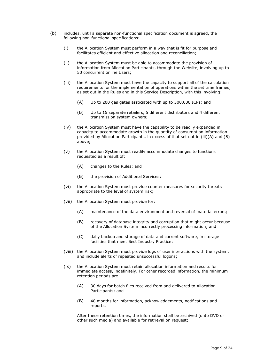- (b) includes, until a separate non-functional specification document is agreed, the following non-functional specifications:
	- (i) the Allocation System must perform in a way that is fit for purpose and facilitates efficient and effective allocation and reconciliation;
	- (ii) the Allocation System must be able to accommodate the provision of information from Allocation Participants, through the Website, involving up to 50 concurrent online Users;
	- (iii) the Allocation System must have the capacity to support all of the calculation requirements for the implementation of operations within the set time frames, as set out in the Rules and in this Service Description, with this involving:
		- (A) Up to 200 gas gates associated with up to 300,000 ICPs; and
		- (B) Up to 15 separate retailers, 5 different distributors and 4 different transmission system owners;
	- (iv) the Allocation System must have the capability to be readily expanded in capacity to accommodate growth in the quantity of consumption information provided by Allocation Participants, in excess of that set out in (iii)(A) and (B) above;
	- (v) the Allocation System must readily accommodate changes to functions requested as a result of:
		- (A) changes to the Rules; and
		- (B) the provision of Additional Services;
	- (vi) the Allocation System must provide counter measures for security threats appropriate to the level of system risk;
	- (vii) the Allocation System must provide for:
		- (A) maintenance of the data environment and reversal of material errors;
		- (B) recovery of database integrity and corruption that might occur because of the Allocation System incorrectly processing information; and
		- (C) daily backup and storage of data and current software, in storage facilities that meet Best Industry Practice;
	- (viii) the Allocation System must provide logs of user interactions with the system, and include alerts of repeated unsuccessful logons;
	- (ix) the Allocation System must retain allocation information and results for immediate access, indefinitely. For other recorded information, the minimum retention periods are:
		- (A) 30 days for batch files received from and delivered to Allocation Participants; and
		- (B) 48 months for information, acknowledgements, notifications and reports.

After these retention times, the information shall be archived (onto DVD or other such media) and available for retrieval on request;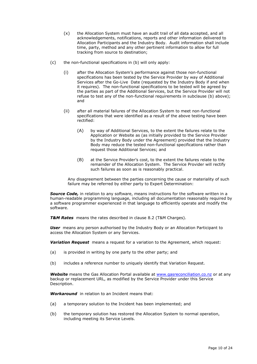- (x) the Allocation System must have an audit trail of all data accepted, and all acknowledgements, notifications, reports and other information delivered to Allocation Participants and the Industry Body. Audit information shall include time, party, method and any other pertinent information to allow for full tracking from source to destination;
- (c) the non-functional specifications in (b) will only apply:
	- (i) after the Allocation System's performance against those non-functional specifications has been tested by the Service Provider by way of Additional Services after the Go-Live Date (requested by the Industry Body if and when it requires). The non-functional specifications to be tested will be agreed by the parties as part of the Additional Services, but the Service Provider will not refuse to test any of the non-functional requirements in subclause (b) above); and
	- (ii) after all material failures of the Allocation System to meet non-functional specifications that were identified as a result of the above testing have been rectified:
		- (A) by way of Additional Services, to the extent the failures relate to the Application or Website as (as initially provided to the Service Provider by the Industry Body under the Agreement) provided that the Industry Body may reduce the tested non-functional specifications rather than request those Additional Services; and
		- (B) at the Service Provider's cost, to the extent the failures relate to the remainder of the Allocation System. The Service Provider will rectify such failures as soon as is reasonably practical.

Any disagreement between the parties concerning the cause or materiality of such failure may be referred by either party to Expert Determination:

*Source Code,* in relation to any software, means instructions for the software written in a human-readable programming language, including all documentation reasonably required by a software programmer experienced in that language to efficiently operate and modify the software.

*T&M Rates* means the rates described in clause [8.2](#page-22-0) (T&M Charges).

**User** means any person authorised by the Industry Body or an Allocation Participant to access the Allocation System or any Services.

*Variation Request* means a request for a variation to the Agreement, which request:

- (a) is provided in writing by one party to the other party; and
- (b) includes a reference number to uniquely identify that Variation Request.

**Website** means the Gas Allocation Portal available at [www.gasreconciliation.co.nz](http://www.gasreconciliation.co.nz/) or at any backup or replacement URL, as modified by the Service Provider under this Service Description.

*Workaround* in relation to an Incident means that:

- (a) a temporary solution to the Incident has been implemented; and
- (b) the temporary solution has restored the Allocation System to normal operation, including meeting its Service Levels.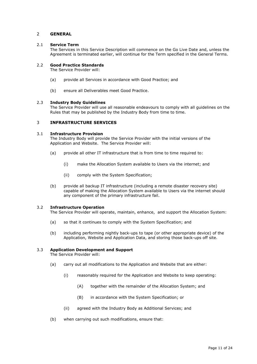# <span id="page-10-0"></span>2 **GENERAL**

## <span id="page-10-1"></span>2.1 **Service Term**

The Services in this Service Description will commence on the Go Live Date and, unless the Agreement is terminated earlier, will continue for the Term specified in the General Terms.

## <span id="page-10-2"></span>2.2 **Good Practice Standards**

The Service Provider will:

- (a) provide all Services in accordance with Good Practice; and
- (b) ensure all Deliverables meet Good Practice.

## <span id="page-10-3"></span>2.3 **Industry Body Guidelines**

The Service Provider will use all reasonable endeavours to comply with all guidelines on the Rules that may be published by the Industry Body from time to time.

## <span id="page-10-4"></span>3 **INFRASTRUCTURE SERVICES**

## <span id="page-10-5"></span>3.1 **Infrastructure Provision**

The Industry Body will provide the Service Provider with the initial versions of the Application and Website. The Service Provider will:

- (a) provide all other IT infrastructure that is from time to time required to:
	- (i) make the Allocation System available to Users via the internet; and
	- (ii) comply with the System Specification;
- (b) provide all backup IT infrastructure (including a remote disaster recovery site) capable of making the Allocation System available to Users via the internet should any component of the primary infrastructure fail.

## <span id="page-10-6"></span>3.2 **Infrastructure Operation**

The Service Provider will operate, maintain, enhance, and support the Allocation System:

- (a) so that it continues to comply with the System Specification; and
- (b) including performing nightly back-ups to tape (or other appropriate device) of the Application, Website and Application Data, and storing those back-ups off site.

## <span id="page-10-7"></span>3.3 **Application Development and Support**

The Service Provider will:

- (a) carry out all modifications to the Application and Website that are either:
	- (i) reasonably required for the Application and Website to keep operating:
		- (A) together with the remainder of the Allocation System; and
		- (B) in accordance with the System Specification; or
	- (ii) agreed with the Industry Body as Additional Services; and
- (b) when carrying out such modifications, ensure that: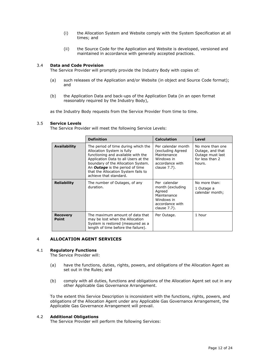- (i) the Allocation System and Website comply with the System Specification at all times; and
- (ii) the Source Code for the Application and Website is developed, versioned and maintained in accordance with generally accepted practices.

## <span id="page-11-0"></span>3.4 **Data and Code Provision**

The Service Provider will promptly provide the Industry Body with copies of:

- (a) such releases of the Application and/or Website (in object and Source Code format); and
- (b) the Application Data and back-ups of the Application Data (in an open format reasonably required by the Industry Body),

as the Industry Body requests from the Service Provider from time to time.

## <span id="page-11-1"></span>3.5 **Service Levels**

The Service Provider will meet the following Service Levels:

|                                 | <b>Definition</b>                                                                                                                                                                                                                                                                                | <b>Calculation</b>                                                                                         | Level                                                                                 |
|---------------------------------|--------------------------------------------------------------------------------------------------------------------------------------------------------------------------------------------------------------------------------------------------------------------------------------------------|------------------------------------------------------------------------------------------------------------|---------------------------------------------------------------------------------------|
| <b>Availability</b>             | The period of time during which the<br>Allocation System is fully<br>functioning and available with the<br>Application Data to all Users at the<br>boundary of the Allocation System.<br>An <b>Outage</b> is the period of time<br>that the Allocation System fails to<br>achieve that standard. | Per calendar month<br>(excluding Agreed<br>Maintenance<br>Windows in<br>accordance with<br>clause 7.7).    | No more than one<br>Outage, and that<br>Outage must last<br>for less than 2<br>hours. |
| <b>Reliability</b>              | The number of Outages, of any<br>duration.                                                                                                                                                                                                                                                       | Per calendar<br>month (excluding<br>Agreed<br>Maintenance<br>Windows in<br>accordance with<br>clause 7.7). | No more than:<br>1 Outage a<br>calendar month;                                        |
| <b>Recovery</b><br><b>Point</b> | The maximum amount of data that<br>may be lost when the Allocation<br>System is restored (measured as a<br>length of time before the failure).                                                                                                                                                   | Per Outage.                                                                                                | 1 hour                                                                                |

## <span id="page-11-2"></span>4 **ALLOCATION AGENT SERVICES**

#### <span id="page-11-3"></span>4.1 **Regulatory Functions**

The Service Provider will:

- (a) have the functions, duties, rights, powers, and obligations of the Allocation Agent as set out in the Rules; and
- (b) comply with all duties, functions and obligations of the Allocation Agent set out in any other Applicable Gas Governance Arrangement.

To the extent this Service Description is inconsistent with the functions, rights, powers, and obligations of the Allocation Agent under any Applicable Gas Governance Arrangement, the Applicable Gas Governance Arrangement will prevail.

## <span id="page-11-4"></span>4.2 **Additional Obligations**

The Service Provider will perform the following Services: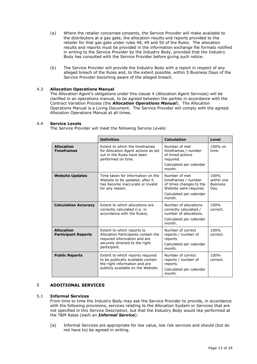- (a) Where the retailer concerned consents, the Service Provider will make available to the distributors at a gas gate, the allocation results and reports provided to the retailer for that gas gate under rules 48, 49 and 50 of the Rules. The allocation results and reports must be provided in the information exchange file formats notified in writing to the Service Provider by the Industry Body, provided that the Industry Body has consulted with the Service Provider before giving such notice.
- (b) The Service Provider will provide the Industry Body with a report in respect of any alleged breach of the Rules and, to the extent possible, within 5 Business Days of the Service Provider becoming aware of the alleged breach.

# <span id="page-12-0"></span>4.3 **Allocation Operations Manual**

The Allocation Agent's obligations under this clause [4](#page-11-2) (Allocation Agent Services) will be clarified in an operations manual, to be agreed between the parties in accordance with the Contract Variation Process (the *Allocation Operations Manual*). The Allocation Operations Manual is a Living Document. The Service Provider will comply with the agreed Allocation Operations Manual at all times.

## <span id="page-12-1"></span>4.4 **Service Levels**

The Service Provider will meet the following Service Levels:

|                                                 | <b>Definition</b>                                                                                                                                   | <b>Calculation</b>                                                                                                             | Level                                         |
|-------------------------------------------------|-----------------------------------------------------------------------------------------------------------------------------------------------------|--------------------------------------------------------------------------------------------------------------------------------|-----------------------------------------------|
| <b>Allocation</b><br><b>Timeframes</b>          | Extent to which the timeframes<br>for Allocation Agent actions as set<br>out in the Rules have been<br>performed on time.                           | Number of met<br>timeframes / number<br>of timed actions<br>required.<br>Calculated per calendar<br>month.                     | 100% on<br>time.                              |
| <b>Website Updates</b>                          | Time taken for information on the<br>Website to be updated, after it<br>has become inaccurate or invalid<br>for any reason.                         | Number of met<br>timeframes / number<br>of times changes to the<br>Website were required.<br>Calculated per calendar<br>month. | 100%<br>within one<br><b>Business</b><br>Day. |
| <b>Calculation Accuracy</b>                     | Extent to which allocations are<br>correctly calculated (i.e. in<br>accordance with the Rules).                                                     | Number of allocations<br>correctly calculated /<br>number of allocations.<br>Calculated per calendar<br>month.                 | 100%<br>correct.                              |
| <b>Allocation</b><br><b>Participant Reports</b> | Extent to which reports to<br>Allocation Participants contain the<br>required information and are<br>securely directed to the right<br>participant. | Number of correct<br>reports / number of<br>reports.<br>Calculated per calendar<br>month.                                      | 100%<br>correct.                              |
| <b>Public Reports</b>                           | Extent to which reports required<br>to be publically available contain<br>the right information and are<br>publicly available on the Website.       | Number of correct<br>reports / number of<br>reports.<br>Calculated per calendar<br>month.                                      | 100%<br>correct.                              |

## <span id="page-12-2"></span>5 **ADDITIONAL SERVICES**

## <span id="page-12-3"></span>5.1 **Informal Services**

From time to time the Industry Body may ask the Service Provider to provide, in accordance with the following provisions, services relating to the Allocation System or Services that are not specified in this Service Description, but that the Industry Body would like performed at the T&M Rates (each an *Informal Service*):

(a) Informal Services are appropriate for low value, low risk services and should (but do not have to) be agreed in writing.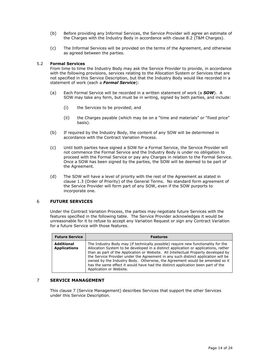- (b) Before providing any Informal Services, the Service Provider will agree an estimate of the Charges with the Industry Body in accordance with clause 8.2 (T&M Charges).
- (c) The Informal Services will be provided on the terms of the Agreement, and otherwise as agreed between the parties.

## <span id="page-13-0"></span>5.2 **Formal Services**

From time to time the Industry Body may ask the Service Provider to provide, in accordance with the following provisions, services relating to the Allocation System or Services that are not specified in this Service Description, but that the Industry Body would like recorded in a statement of work (each a *Formal Service*):

- (a) Each Formal Service will be recorded in a written statement of work (a *SOW*). A SOW may take any form, but must be in writing, signed by both parties, and include:
	- (i) the Services to be provided; and
	- (ii) the Charges payable (which may be on a "time and materials" or "fixed price" basis).
- (b) If required by the Industry Body, the content of any SOW will be determined in accordance with the Contract Variation Process.
- (c) Until both parties have signed a SOW for a Formal Service, the Service Provider will not commence the Formal Service and the Industry Body is under no obligation to proceed with the Formal Service or pay any Charges in relation to the Formal Service. Once a SOW has been signed by the parties, the SOW will be deemed to be part of the Agreement.
- (d) The SOW will have a level of priority with the rest of the Agreement as stated in clause 1.3 (Order of Priority) of the General Terms. No standard form agreement of the Service Provider will form part of any SOW, even if the SOW purports to incorporate one.

## <span id="page-13-1"></span>6 **FUTURE SERVICES**

Under the Contract Variation Process, the parties may negotiate future Services with the features specified in the following table. The Service Provider acknowledges it would be unreasonable for it to refuse to accept any Variation Request or sign any Contract Variation for a future Service with those features.

| <b>Future Service</b>             | <b>Features</b>                                                                                                                                                                                                                                                                                                                                                                                                                                                                                                                                  |
|-----------------------------------|--------------------------------------------------------------------------------------------------------------------------------------------------------------------------------------------------------------------------------------------------------------------------------------------------------------------------------------------------------------------------------------------------------------------------------------------------------------------------------------------------------------------------------------------------|
| Additional<br><b>Applications</b> | The Industry Body may (if technically possible) require new functionality for the<br>Allocation System to be developed in a distinct application or applications, rather<br>than as part of the Application or Website. All Intellectual Property developed by<br>the Service Provider under the Agreement in any such distinct application will be<br>owned by the Industry Body. Otherwise, the Agreement would be amended so it<br>has the same effect it would have had the distinct application been part of the<br>Application or Website. |

## <span id="page-13-2"></span>7 **SERVICE MANAGEMENT**

This clause 7 (Service Management) describes Services that support the other Services under this Service Description.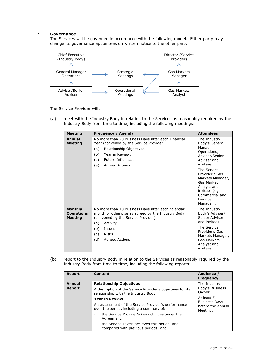# <span id="page-14-0"></span>7.1 **Governance**

The Services will be governed in accordance with the following model. Either party may change its governance appointees on written notice to the other party.



The Service Provider will:

(a) meet with the Industry Body in relation to the Services as reasonably required by the Industry Body from time to time, including the following meetings:

| <b>Meeting</b>                                        | Frequency / Agenda                                                                                                                                                                                                            | <b>Attendees</b>                                                                                                                                                                                                                                   |
|-------------------------------------------------------|-------------------------------------------------------------------------------------------------------------------------------------------------------------------------------------------------------------------------------|----------------------------------------------------------------------------------------------------------------------------------------------------------------------------------------------------------------------------------------------------|
| Annual<br><b>Meeting</b>                              | No more than 20 Business Days after each Financial<br>Year (convened by the Service Provider).<br>Relationship Objectives.<br>(a)<br>(b)<br>Year in Review.<br>Future Influences.<br>(c) —<br>(e)<br>Agreed Actions.          | The Industry<br>Body's General<br>Manager<br>Operations,<br>Adviser/Senior<br>Adviser and<br>invitees.<br>The Service<br>Provider's Gas<br>Markets Manager,<br>Gas Market<br>Analyst and<br>invitees (eg<br>Commercial and<br>Finance<br>Manager). |
| <b>Monthly</b><br><b>Operations</b><br><b>Meeting</b> | No more than 10 Business Days after each calendar<br>month or otherwise as agreed by the Industry Body<br>(convened by the Service Provider).<br>(a)<br>Activity.<br>(b)<br>Issues.<br>Risks.<br>(c)<br>(d)<br>Agreed Actions | The Industry<br>Body's Adviser/<br>Senior Adviser<br>and invitees.<br>The Service<br>Provider's Gas<br>Markets Manager,<br>Gas Markets<br>Analyst and<br>invitees                                                                                  |

(b) report to the Industry Body in relation to the Services as reasonably required by the Industry Body from time to time, including the following reports:

| <b>Report</b> | <b>Content</b>                                                                                     | Audience /<br><b>Frequency</b>                        |  |
|---------------|----------------------------------------------------------------------------------------------------|-------------------------------------------------------|--|
| <b>Annual</b> | <b>Relationship Objectives</b>                                                                     | The Industry                                          |  |
| <b>Report</b> | A description of the Service Provider's objectives for its<br>relationship with the Industry Body. | Body's Business<br>Owner.                             |  |
|               | <b>Year in Review</b>                                                                              | At least 5                                            |  |
|               | An assessment of the Service Provider's performance<br>over the period, including a summary of:    | <b>Business Days</b><br>before the Annual<br>Meeting. |  |
|               | the Service Provider's key activities under the<br>Agreement;                                      |                                                       |  |
|               | the Service Levels achieved this period, and<br>۰<br>compared with previous periods; and           |                                                       |  |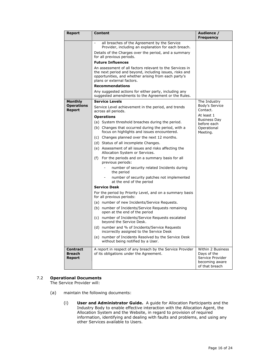| <b>Report</b>                              | Content                                                                                                                                                                                  | Audience /<br><b>Frequency</b>                                                           |
|--------------------------------------------|------------------------------------------------------------------------------------------------------------------------------------------------------------------------------------------|------------------------------------------------------------------------------------------|
|                                            | all breaches of the Agreement by the Service<br>$\overline{\phantom{a}}$<br>Provider, including an explanation for each breach.<br>Details of the Charges over the period, and a summary |                                                                                          |
|                                            | for all previous periods.<br><b>Future Influences</b>                                                                                                                                    |                                                                                          |
|                                            | An assessment of all factors relevant to the Services in                                                                                                                                 |                                                                                          |
|                                            | the next period and beyond, including issues, risks and<br>opportunities, and whether arising from each party's<br>plans or external factors.                                            |                                                                                          |
|                                            | <b>Recommendations</b>                                                                                                                                                                   |                                                                                          |
|                                            | Any suggested actions for either party, including any<br>suggested amendments to the Agreement or the Rules.                                                                             |                                                                                          |
| <b>Monthly</b>                             | <b>Service Levels</b>                                                                                                                                                                    | The Industry                                                                             |
| <b>Operations</b><br><b>Report</b>         | Service Level achievement in the period, and trends<br>across all periods.                                                                                                               | Body's Service<br>Contact.                                                               |
|                                            | <b>Operations</b>                                                                                                                                                                        | At least 1<br><b>Business Day</b>                                                        |
|                                            | (a) System threshold breaches during the period.                                                                                                                                         | before each                                                                              |
|                                            | (b) Changes that occurred during the period, with a<br>focus on highlights and issues encountered.                                                                                       | Operational<br>Meeting.                                                                  |
|                                            | (c) Changes planned over the next 12 months.                                                                                                                                             |                                                                                          |
|                                            | (d) Status of all incomplete Changes.                                                                                                                                                    |                                                                                          |
|                                            | (e) Assessment of all issues and risks affecting the<br>Allocation System or Services.                                                                                                   |                                                                                          |
|                                            | For the periods and on a summary basis for all<br>(f)<br>previous periods:                                                                                                               |                                                                                          |
|                                            | number of security related Incidents during<br>the period                                                                                                                                |                                                                                          |
|                                            | number of security patches not implemented<br>at the end of the period                                                                                                                   |                                                                                          |
|                                            | <b>Service Desk</b>                                                                                                                                                                      |                                                                                          |
|                                            | For the period by Priority Level, and on a summary basis<br>for all previous periods:                                                                                                    |                                                                                          |
|                                            | (a) number of new Incidents/Service Requests.                                                                                                                                            |                                                                                          |
|                                            | (b) number of Incidents/Service Requests remaining<br>open at the end of the period                                                                                                      |                                                                                          |
|                                            | number of Incidents/Service Requests escalated<br>(c)<br>beyond the Service Desk.                                                                                                        |                                                                                          |
|                                            | (d) number and % of Incidents/Service Requests<br>incorrectly assigned to the Service Desk                                                                                               |                                                                                          |
|                                            | (e) number of Incidents Resolved by the Service Desk<br>without being notified by a User.                                                                                                |                                                                                          |
| <b>Contract</b><br><b>Breach</b><br>Report | A report in respect of any breach by the Service Provider<br>of its obligations under the Agreement.                                                                                     | Within 2 Business<br>Days of the<br>Service Provider<br>becoming aware<br>of that breach |

# <span id="page-15-0"></span>7.2 **Operational Documents**

The Service Provider will:

- (a) maintain the following documents:
	- (i) **User and Administrator Guide.** A guide for Allocation Participants and the Industry Body to enable effective interaction with the Allocation Agent, the Allocation System and the Website, in regard to provision of required information, identifying and dealing with faults and problems, and using any other Services available to Users.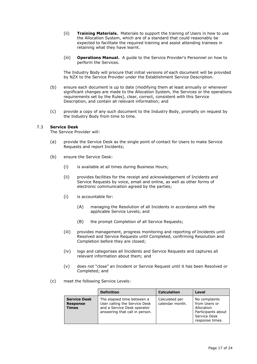- (ii) **Training Materials.** Materials to support the training of Users in how to use the Allocation System, which are of a standard that could reasonably be expected to facilitate the required training and assist attending trainees in retaining what they have learnt.
- (iii) **Operations Manual.** A guide to the Service Provider's Personnel on how to perform the Services.

The Industry Body will procure that initial versions of each document will be provided by NZX to the Service Provider under the Establishment Service Description.

- (b) ensure each document is up to date (modifying them at least annually or whenever significant changes are made to the Allocation System, the Services or the operations requirements set by the Rules), clear, correct, consistent with this Service Description, and contain all relevant information; and
- (c) provide a copy of any such document to the Industry Body, promptly on request by the Industry Body from time to time.

## <span id="page-16-0"></span>7.3 **Service Desk**

The Service Provider will:

- (a) provide the Service Desk as the single point of contact for Users to make Service Requests and report Incidents;
- (b) ensure the Service Desk:
	- (i) is available at all times during Business Hours;
	- (ii) provides facilities for the receipt and acknowledgement of Incidents and Service Requests by voice, email and online, as well as other forms of electronic communication agreed by the parties;
	- (i) is accountable for:
		- (A) managing the Resolution of all Incidents in accordance with the applicable Service Levels; and
		- (B) the prompt Completion of all Service Requests;
	- (iii) provides management, progress monitoring and reporting of Incidents until Resolved and Service Requests until Completed, confirming Resolution and Completion before they are closed;
	- (iv) logs and categorises all Incidents and Service Requests and captures all relevant information about them; and
	- (v) does not "close" an Incident or Service Request until it has been Resolved or Completed; and
- (c) meet the following Service Levels:

|                                                        | <b>Definition</b>                                                                                                            | <b>Calculation</b>                | Level                                                                                                 |
|--------------------------------------------------------|------------------------------------------------------------------------------------------------------------------------------|-----------------------------------|-------------------------------------------------------------------------------------------------------|
| <b>Service Desk</b><br><b>Response</b><br><b>Times</b> | The elapsed time between a<br>User calling the Service Desk<br>and a Service Desk operator<br>answering that call in person. | Calculated per<br>calendar month. | No complaints<br>from Users or<br>Allocation<br>Participants about<br>Service Desk<br>response times. |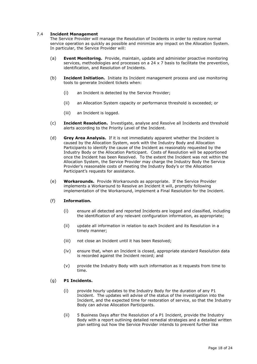# <span id="page-17-0"></span>7.4 **Incident Management**

The Service Provider will manage the Resolution of Incidents in order to restore normal service operation as quickly as possible and minimize any impact on the Allocation System. In particular, the Service Provider will:

- (a) **Event Monitoring.** Provide, maintain, update and administer proactive monitoring services, methodologies and processes on a 24 x 7 basis to facilitate the prevention, identification, and Resolution of Incidents.
- (b) **Incident Initiation.** Initiate its Incident management process and use monitoring tools to generate Incident tickets when:
	- (i) an Incident is detected by the Service Provider;
	- (ii) an Allocation System capacity or performance threshold is exceeded; or
	- (iii) an Incident is logged.
- (c) **Incident Resolution.** Investigate, analyse and Resolve all Incidents and threshold alerts according to the Priority Level of the Incident.
- (d) **Grey Area Analysis.** If it is not immediately apparent whether the Incident is caused by the Allocation System, work with the Industry Body and Allocation Participants to identify the cause of the Incident as reasonably requested by the Industry Body or the Allocation Participant. Costs of Resolution will be apportioned once the Incident has been Resolved. To the extent the Incident was not within the Allocation System, the Service Provider may charge the Industry Body the Service Provider's reasonable costs of meeting the Industry Body's or the Allocation Participant's requests for assistance.
- (e) **Workarounds.** Provide Workarounds as appropriate. If the Service Provider implements a Workaround to Resolve an Incident it will, promptly following implementation of the Workaround, implement a Final Resolution for the Incident.

## (f) **Information.**

- (i) ensure all detected and reported Incidents are logged and classified, including the identification of any relevant configuration information, as appropriate;
- (ii) update all information in relation to each Incident and its Resolution in a timely manner;
- (iii) not close an Incident until it has been Resolved;
- (iv) ensure that, when an Incident is closed, appropriate standard Resolution data is recorded against the Incident record; and
- (v) provide the Industry Body with such information as it requests from time to time.

## (g) **P1 Incidents.**

- (i) provide hourly updates to the Industry Body for the duration of any P1 Incident. The updates will advise of the status of the investigation into the Incident, and the expected time for restoration of service, so that the Industry Body can advise Allocation Participants.
- (ii) 5 Business Days after the Resolution of a P1 Incident, provide the Industry Body with a report outlining detailed remedial strategies and a detailed written plan setting out how the Service Provider intends to prevent further like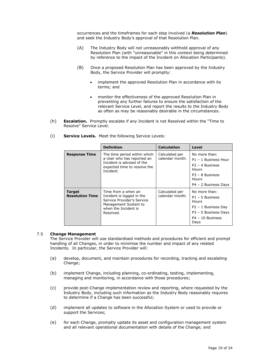occurrences and the timeframes for each step involved (a *Resolution Plan*) and seek the Industry Body's approval of that Resolution Plan.

- (A) The Industry Body will not unreasonably withhold approval of any Resolution Plan (with "unreasonable" in this context being determined by reference to the impact of the Incident on Allocation Participants).
- (B) Once a proposed Resolution Plan has been approved by the Industry Body, the Service Provider will promptly:
	- implement the approved Resolution Plan in accordance with its terms; and
	- monitor the effectiveness of the approved Resolution Plan in preventing any further failures to ensure the satisfaction of the relevant Service Level, and report the results to the Industry Body as often as may be reasonably desirable in the circumstances.
- (h) **Escalation.** Promptly escalate if any Incident is not Resolved within the "Time to Resolve" Service Level.

|                                         | <b>Definition</b>                                                                                                                           | <b>Calculation</b>                | Level                                                                                                                     |
|-----------------------------------------|---------------------------------------------------------------------------------------------------------------------------------------------|-----------------------------------|---------------------------------------------------------------------------------------------------------------------------|
| <b>Response Time</b>                    | The time period within which<br>a User who has reported an<br>Incident is advised of the<br>expected time to resolve the<br>Incident.       | Calculated per<br>calendar month. | No more than:<br>P1 - 1 Business Hour<br>$P2 - 4$ Business<br>Hours<br>$P3 - 8$ Business<br>Hours<br>P4 - 2 Business Days |
| <b>Target</b><br><b>Resolution Time</b> | Time from a when an<br>Incident is logged in the<br>Service Provider's Service<br>Management System to<br>when the Incident is<br>Resolved. | Calculated per<br>calendar month. | No more than:<br>$P1 - 5$ Business<br>Hours<br>P2 - 1 Business Day<br>P3 - 5 Business Days<br>P4 - 10 Business<br>Days    |

(i) **Service Levels.** Meet the following Service Levels:

## <span id="page-18-0"></span>7.5 **Change Management**

The Service Provider will use standardised methods and procedures for efficient and prompt handling of all Changes, in order to minimise the number and impact of any related Incidents. In particular, the Service Provider will:

- (a) develop, document, and maintain procedures for recording, tracking and escalating Change;
- (b) implement Change, including planning, co-ordinating, testing, implementing, managing and monitoring, in accordance with those procedures;
- (c) provide post-Change implementation review and reporting, where requested by the Industry Body, including such information as the Industry Body reasonably requires to determine if a Change has been successful;
- (d) implement all updates to software in the Allocation System or used to provide or support the Services;
- (e) for each Change, promptly update its asset and configuration management system and all relevant operational documentation with details of the Change; and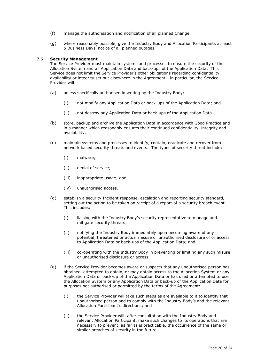- (f) manage the authorisation and notification of all planned Change.
- (g) where reasonably possible, give the Industry Body and Allocation Participants at least 5 Business Days' notice of all planned outages.

## <span id="page-19-0"></span>7.6 **Security Management**

The Service Provider must maintain systems and processes to ensure the security of the Allocation System and all Application Data and back-ups of the Application Data. This Service does not limit the Service Provider's other obligations regarding confidentiality, availability or integrity set out elsewhere in the Agreement. In particular, the Service Provider will:

- (a) unless specifically authorised in writing by the Industry Body:
	- (i) not modify any Application Data or back-ups of the Application Data; and
	- (ii) not destroy any Application Data or back-ups of the Application Data.
- (b) store, backup and archive the Application Data in accordance with Good Practice and in a manner which reasonably ensures their continued confidentiality, integrity and availability.
- (c) maintain systems and processes to identify, contain, eradicate and recover from network based security threats and events. The types of security threat include:
	- (i) malware;
	- (ii) denial of service;
	- (iii) inappropriate usage; and
	- (iv) unauthorised access.
- (d) establish a security Incident response, escalation and reporting security standard, setting out the action to be taken on receipt of a report of a security breach event. This includes:
	- (i) liaising with the Industry Body's security representative to manage and mitigate security threats;
	- (ii) notifying the Industry Body immediately upon becoming aware of any potential, threatened or actual misuse or unauthorised disclosure of or access to Application Data or back-ups of the Application Data; and
	- (iii) co-operating with the Industry Body in preventing or limiting any such misuse or unauthorised disclosure or access.
- (e) if the Service Provider becomes aware or suspects that any unauthorised person has obtained, attempted to obtain, or may obtain access to the Allocation System or any Application Data or back-up of the Application Data or has used or attempted to use the Allocation System or any Application Data or back-up of the Application Data for purposes not authorised or permitted by the terms of the Agreement:
	- (i) the Service Provider will take such steps as are available to it to identify that unauthorised person and to comply with the Industry Body's and the relevant Allocation Participant's directions; and
	- (ii) the Service Provider will, after consultation with the Industry Body and relevant Allocation Participant, make such changes to its operations that are necessary to prevent, as far as is practicable, the occurrence of the same or similar breaches of security in the future.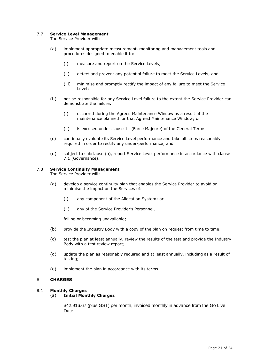# <span id="page-20-0"></span>7.7 **Service Level Management**

The Service Provider will:

- (a) implement appropriate measurement, monitoring and management tools and procedures designed to enable it to:
	- (i) measure and report on the Service Levels;
	- (ii) detect and prevent any potential failure to meet the Service Levels; and
	- (iii) minimise and promptly rectify the impact of any failure to meet the Service Level;
- (b) not be responsible for any Service Level failure to the extent the Service Provider can demonstrate the failure:
	- (i) occurred during the Agreed Maintenance Window as a result of the maintenance planned for that Agreed Maintenance Window; or
	- (ii) is excused under clause 14 (Force Majeure) of the General Terms.
- (c) continually evaluate its Service Level performance and take all steps reasonably required in order to rectify any under-performance; and
- (d) subject to subclause (b), report Service Level performance in accordance with clause [7.1](#page-14-0) (Governance).

## <span id="page-20-1"></span>7.8 **Service Continuity Management**

The Service Provider will:

- (a) develop a service continuity plan that enables the Service Provider to avoid or minimise the impact on the Services of:
	- (i) any component of the Allocation System; or
	- (ii) any of the Service Provider's Personnel,

failing or becoming unavailable;

- (b) provide the Industry Body with a copy of the plan on request from time to time;
- (c) test the plan at least annually, review the results of the test and provide the Industry Body with a test review report;
- (d) update the plan as reasonably required and at least annually, including as a result of testing;
- (e) implement the plan in accordance with its terms.

## <span id="page-20-2"></span>8 **CHARGES**

#### <span id="page-20-3"></span>8.1 **Monthly Charges**

(a) **Initial Monthly Charges**

\$42,916.67 (plus GST) per month, invoiced monthly in advance from the Go Live Date.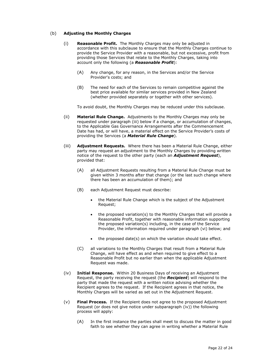# (b) **Adjusting the Monthly Charges**

- (i) **Reasonable Profit.** The Monthly Charges may only be adjusted in accordance with this subclause to ensure that the Monthly Charges continue to provide the Service Provider with a reasonable, but not excessive, profit from providing those Services that relate to the Monthly Charges, taking into account only the following (a *Reasonable Profit*):
	- (A) Any change, for any reason, in the Services and/or the Service Provider's costs; and
	- (B) The need for each of the Services to remain competitive against the best price available for similar services provided in New Zealand (whether provided separately or together with other services).

To avoid doubt, the Monthly Charges may be reduced under this subclause.

- (ii) **Material Rule Change.** Adjustments to the Monthly Charges may only be requested under paragraph (iii) below if a change, or accumulation of changes, to the Applicable Gas Governance Arrangements after the Commencement Date has had, or will have, a material effect on the Service Provider's costs of providing the Services (a *Material Rule Change*).
- (iii) **Adjustment Requests.** Where there has been a Material Rule Change, either party may request an adjustment to the Monthly Charges by providing written notice of the request to the other party (each an *Adjustment Request*), provided that:
	- (A) all Adjustment Requests resulting from a Material Rule Change must be given within 3 months after that change (or the last such change where there has been an accumulation of them); and
	- (B) each Adjustment Request must describe:
		- the Material Rule Change which is the subject of the Adjustment Request;
		- the proposed variation(s) to the Monthly Charges that will provide a Reasonable Profit, together with reasonable information supporting the proposed variation(s) including, in the case of the Service Provider, the information required under paragraph (vi) below; and
		- the proposed date(s) on which the variation should take effect.
	- (C) all variations to the Monthly Charges that result from a Material Rule Change, will have effect as and when required to give effect to a Reasonable Profit but no earlier than when the applicable Adjustment Request was made.
- (iv) **Initial Response.** Within 20 Business Days of receiving an Adjustment Request, the party receiving the request (the *Recipient*) will respond to the party that made the request with a written notice advising whether the Recipient agrees to the request. If the Recipient agrees in that notice, the Monthly Charges will be varied as set out in the Adjustment Request.
- (v) **Final Process.** If the Recipient does not agree to the proposed Adjustment Request (or does not give notice under subparagraph (iv)) the following process will apply:
	- (A) In the first instance the parties shall meet to discuss the matter in good faith to see whether they can agree in writing whether a Material Rule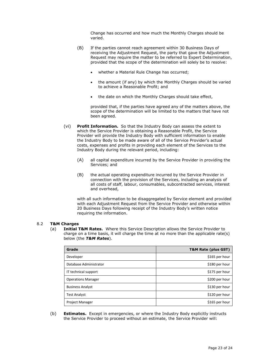Change has occurred and how much the Monthly Charges should be varied.

- (B) If the parties cannot reach agreement within 30 Business Days of receiving the Adjustment Request, the party that gave the Adjustment Request may require the matter to be referred to Expert Determination, provided that the scope of the determination will solely be to resolve:
	- whether a Material Rule Change has occurred;
	- the amount (if any) by which the Monthly Charges should be varied to achieve a Reasonable Profit; and
	- the date on which the Monthly Charges should take effect,

provided that, if the parties have agreed any of the matters above, the scope of the determination will be limited to the matters that have not been agreed.

- (vi) **Profit Information.** So that the Industry Body can assess the extent to which the Service Provider is obtaining a Reasonable Profit, the Service Provider will provide the Industry Body with sufficient information to enable the Industry Body to be made aware of all of the Service Provider's actual costs, expenses and profits in providing each element of the Services to the Industry Body during the relevant period, including:
	- (A) all capital expenditure incurred by the Service Provider in providing the Services; and
	- (B) the actual operating expenditure incurred by the Service Provider in connection with the provision of the Services, including an analysis of all costs of staff, labour, consumables, subcontracted services, interest and overhead,

with all such information to be disaggregated by Service element and provided with each Adjustment Request from the Service Provider and otherwise within 20 Business Days following receipt of the Industry Body's written notice requiring the information.

## <span id="page-22-0"></span>8.2 **T&M Charges**

(a) **Initial T&M Rates.** Where this Service Description allows the Service Provider to charge on a time basis, it will charge the time at no more than the applicable rate(s) below (the *T&M Rates*).

| Grade                     | T&M Rate (plus GST) |
|---------------------------|---------------------|
| Developer                 | \$165 per hour      |
| Database Administrator    | \$180 per hour      |
| IT technical support      | \$175 per hour      |
| <b>Operations Manager</b> | \$200 per hour      |
| <b>Business Analyst</b>   | \$130 per hour      |
| <b>Test Analyst</b>       | \$120 per hour      |
| Project Manager           | \$165 per hour      |

(b) **Estimates.** Except in emergencies, or where the Industry Body explicitly instructs the Service Provider to proceed without an estimate, the Service Provider will: